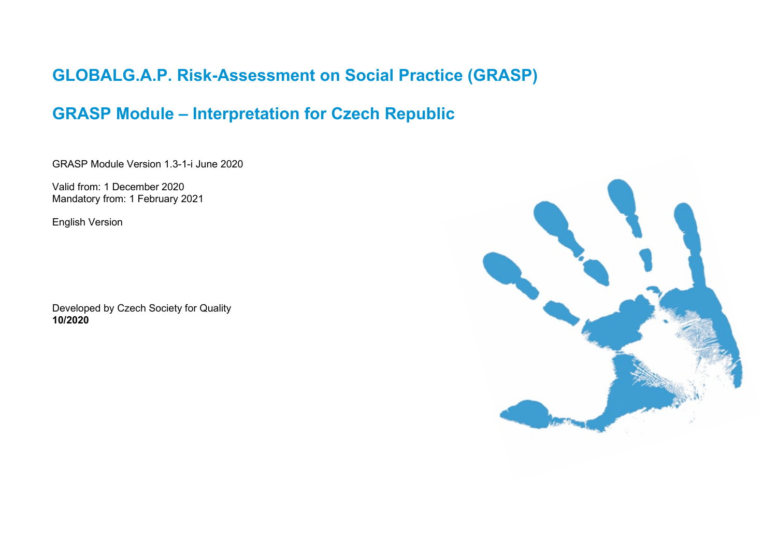# **GLOBALG.A.P. Risk-Assessment on Social Practice (GRASP)**

# **GRASP Module – Interpretation for Czech Republic**

GRASP Module Version 1.3-1-i June 2020

Valid from: 1 December 2020 Mandatory from: 1 February 2021

English Version

Developed by Czech Society for Quality **10/2020**

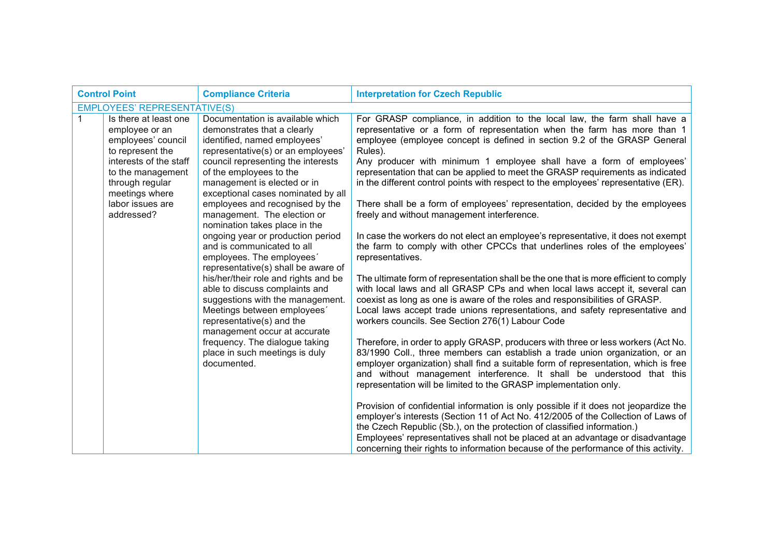| <b>Control Point</b><br><b>Compliance Criteria</b> |                                                                                                             |                                                                                                                                                                                                        | <b>Interpretation for Czech Republic</b>                                                                                                                                                                                                                                                                                                                                                                                      |
|----------------------------------------------------|-------------------------------------------------------------------------------------------------------------|--------------------------------------------------------------------------------------------------------------------------------------------------------------------------------------------------------|-------------------------------------------------------------------------------------------------------------------------------------------------------------------------------------------------------------------------------------------------------------------------------------------------------------------------------------------------------------------------------------------------------------------------------|
|                                                    | <b>EMPLOYEES' REPRESENTATIVE(S)</b>                                                                         |                                                                                                                                                                                                        |                                                                                                                                                                                                                                                                                                                                                                                                                               |
|                                                    | Is there at least one<br>employee or an<br>employees' council<br>to represent the<br>interests of the staff | Documentation is available which<br>demonstrates that a clearly<br>identified, named employees'<br>representative(s) or an employees'<br>council representing the interests                            | For GRASP compliance, in addition to the local law, the farm shall have a<br>representative or a form of representation when the farm has more than 1<br>employee (employee concept is defined in section 9.2 of the GRASP General<br>Rules).<br>Any producer with minimum 1 employee shall have a form of employees'<br>representation that can be applied to meet the GRASP requirements as indicated                       |
|                                                    | to the management<br>through regular<br>meetings where                                                      | of the employees to the<br>management is elected or in<br>exceptional cases nominated by all                                                                                                           | in the different control points with respect to the employees' representative (ER).                                                                                                                                                                                                                                                                                                                                           |
|                                                    | labor issues are<br>addressed?                                                                              | employees and recognised by the<br>management. The election or<br>nomination takes place in the                                                                                                        | There shall be a form of employees' representation, decided by the employees<br>freely and without management interference.                                                                                                                                                                                                                                                                                                   |
|                                                    |                                                                                                             | ongoing year or production period<br>and is communicated to all<br>employees. The employees'<br>representative(s) shall be aware of                                                                    | In case the workers do not elect an employee's representative, it does not exempt<br>the farm to comply with other CPCCs that underlines roles of the employees'<br>representatives.                                                                                                                                                                                                                                          |
|                                                    |                                                                                                             | his/her/their role and rights and be<br>able to discuss complaints and<br>suggestions with the management.<br>Meetings between employees'<br>representative(s) and the<br>management occur at accurate | The ultimate form of representation shall be the one that is more efficient to comply<br>with local laws and all GRASP CPs and when local laws accept it, several can<br>coexist as long as one is aware of the roles and responsibilities of GRASP.<br>Local laws accept trade unions representations, and safety representative and<br>workers councils. See Section 276(1) Labour Code                                     |
|                                                    |                                                                                                             | frequency. The dialogue taking<br>place in such meetings is duly<br>documented.                                                                                                                        | Therefore, in order to apply GRASP, producers with three or less workers (Act No.<br>83/1990 Coll., three members can establish a trade union organization, or an<br>employer organization) shall find a suitable form of representation, which is free<br>and without management interference. It shall be understood that this<br>representation will be limited to the GRASP implementation only.                          |
|                                                    |                                                                                                             |                                                                                                                                                                                                        | Provision of confidential information is only possible if it does not jeopardize the<br>employer's interests (Section 11 of Act No. 412/2005 of the Collection of Laws of<br>the Czech Republic (Sb.), on the protection of classified information.)<br>Employees' representatives shall not be placed at an advantage or disadvantage<br>concerning their rights to information because of the performance of this activity. |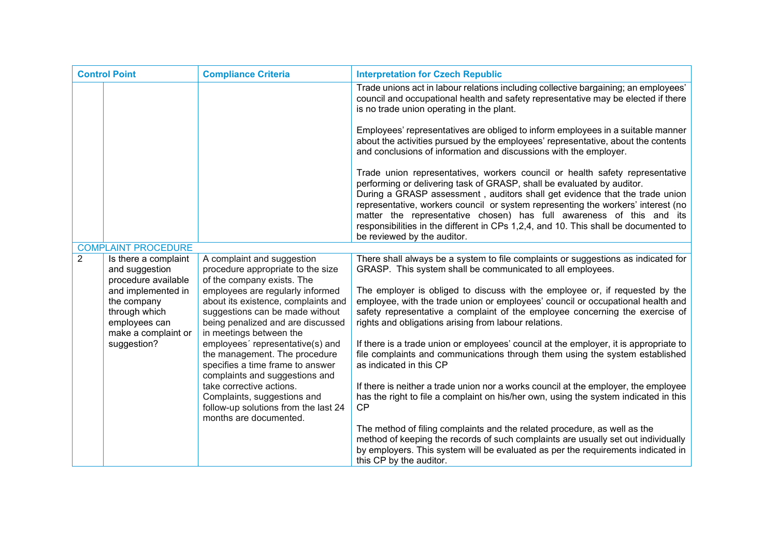| <b>Control Point</b> |                                                                                            | <b>Compliance Criteria</b>                                                                                                                                                 | <b>Interpretation for Czech Republic</b>                                                                                                                                                                                                                                                                                                                                                                                                                                                                                |
|----------------------|--------------------------------------------------------------------------------------------|----------------------------------------------------------------------------------------------------------------------------------------------------------------------------|-------------------------------------------------------------------------------------------------------------------------------------------------------------------------------------------------------------------------------------------------------------------------------------------------------------------------------------------------------------------------------------------------------------------------------------------------------------------------------------------------------------------------|
|                      |                                                                                            |                                                                                                                                                                            | Trade unions act in labour relations including collective bargaining; an employees'<br>council and occupational health and safety representative may be elected if there<br>is no trade union operating in the plant.                                                                                                                                                                                                                                                                                                   |
|                      |                                                                                            |                                                                                                                                                                            | Employees' representatives are obliged to inform employees in a suitable manner<br>about the activities pursued by the employees' representative, about the contents<br>and conclusions of information and discussions with the employer.                                                                                                                                                                                                                                                                               |
|                      |                                                                                            |                                                                                                                                                                            | Trade union representatives, workers council or health safety representative<br>performing or delivering task of GRASP, shall be evaluated by auditor.<br>During a GRASP assessment, auditors shall get evidence that the trade union<br>representative, workers council or system representing the workers' interest (no<br>matter the representative chosen) has full awareness of this and its<br>responsibilities in the different in CPs 1,2,4, and 10. This shall be documented to<br>be reviewed by the auditor. |
|                      | <b>COMPLAINT PROCEDURE</b>                                                                 |                                                                                                                                                                            |                                                                                                                                                                                                                                                                                                                                                                                                                                                                                                                         |
| 2                    | Is there a complaint<br>and suggestion<br>procedure available                              | A complaint and suggestion<br>procedure appropriate to the size<br>of the company exists. The                                                                              | There shall always be a system to file complaints or suggestions as indicated for<br>GRASP. This system shall be communicated to all employees.                                                                                                                                                                                                                                                                                                                                                                         |
|                      | and implemented in<br>the company<br>through which<br>employees can<br>make a complaint or | employees are regularly informed<br>about its existence, complaints and<br>suggestions can be made without<br>being penalized and are discussed<br>in meetings between the | The employer is obliged to discuss with the employee or, if requested by the<br>employee, with the trade union or employees' council or occupational health and<br>safety representative a complaint of the employee concerning the exercise of<br>rights and obligations arising from labour relations.                                                                                                                                                                                                                |
|                      | suggestion?                                                                                | employees' representative(s) and<br>the management. The procedure<br>specifies a time frame to answer<br>complaints and suggestions and                                    | If there is a trade union or employees' council at the employer, it is appropriate to<br>file complaints and communications through them using the system established<br>as indicated in this CP                                                                                                                                                                                                                                                                                                                        |
|                      |                                                                                            | take corrective actions.<br>Complaints, suggestions and<br>follow-up solutions from the last 24<br>months are documented.                                                  | If there is neither a trade union nor a works council at the employer, the employee<br>has the right to file a complaint on his/her own, using the system indicated in this<br>CP                                                                                                                                                                                                                                                                                                                                       |
|                      |                                                                                            |                                                                                                                                                                            | The method of filing complaints and the related procedure, as well as the<br>method of keeping the records of such complaints are usually set out individually<br>by employers. This system will be evaluated as per the requirements indicated in<br>this CP by the auditor.                                                                                                                                                                                                                                           |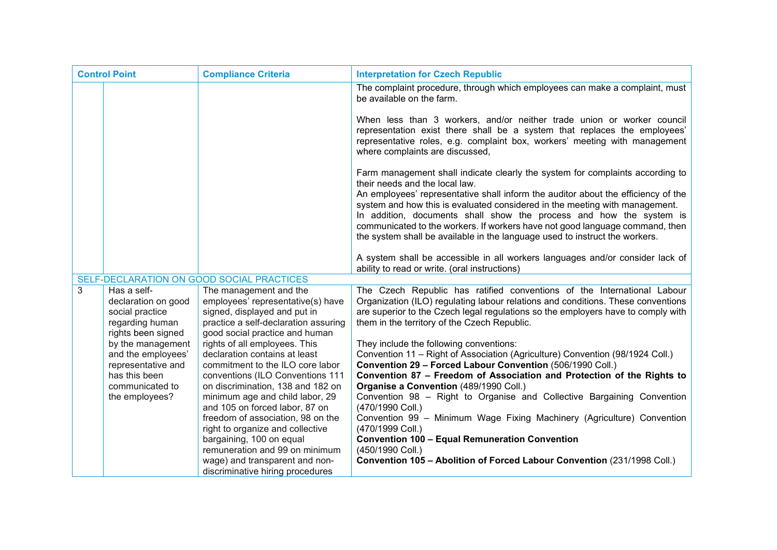| <b>Control Point</b>                      |                                                                          | <b>Compliance Criteria</b>                                                                                                          | <b>Interpretation for Czech Republic</b>                                                                                                                                                                                                                                                                          |
|-------------------------------------------|--------------------------------------------------------------------------|-------------------------------------------------------------------------------------------------------------------------------------|-------------------------------------------------------------------------------------------------------------------------------------------------------------------------------------------------------------------------------------------------------------------------------------------------------------------|
|                                           |                                                                          |                                                                                                                                     | The complaint procedure, through which employees can make a complaint, must<br>be available on the farm.                                                                                                                                                                                                          |
|                                           |                                                                          |                                                                                                                                     | When less than 3 workers, and/or neither trade union or worker council<br>representation exist there shall be a system that replaces the employees'<br>representative roles, e.g. complaint box, workers' meeting with management<br>where complaints are discussed,                                              |
|                                           |                                                                          |                                                                                                                                     | Farm management shall indicate clearly the system for complaints according to<br>their needs and the local law.<br>An employees' representative shall inform the auditor about the efficiency of the                                                                                                              |
|                                           |                                                                          |                                                                                                                                     | system and how this is evaluated considered in the meeting with management.<br>In addition, documents shall show the process and how the system is<br>communicated to the workers. If workers have not good language command, then<br>the system shall be available in the language used to instruct the workers. |
|                                           |                                                                          |                                                                                                                                     | A system shall be accessible in all workers languages and/or consider lack of<br>ability to read or write. (oral instructions)                                                                                                                                                                                    |
| SELF-DECLARATION ON GOOD SOCIAL PRACTICES |                                                                          |                                                                                                                                     |                                                                                                                                                                                                                                                                                                                   |
| 3                                         | Has a self-<br>declaration on good<br>social practice<br>regarding human | The management and the<br>employees' representative(s) have<br>signed, displayed and put in<br>practice a self-declaration assuring | The Czech Republic has ratified conventions of the International Labour<br>Organization (ILO) regulating labour relations and conditions. These conventions<br>are superior to the Czech legal regulations so the employers have to comply with<br>them in the territory of the Czech Republic.                   |
|                                           | rights been signed                                                       | good social practice and human                                                                                                      |                                                                                                                                                                                                                                                                                                                   |
|                                           | by the management                                                        | rights of all employees. This                                                                                                       | They include the following conventions:                                                                                                                                                                                                                                                                           |
|                                           | and the employees'                                                       | declaration contains at least                                                                                                       | Convention 11 - Right of Association (Agriculture) Convention (98/1924 Coll.)                                                                                                                                                                                                                                     |
|                                           | representative and<br>has this been                                      | commitment to the ILO core labor<br>conventions (ILO Conventions 111                                                                | Convention 29 - Forced Labour Convention (506/1990 Coll.)<br>Convention 87 - Freedom of Association and Protection of the Rights to                                                                                                                                                                               |
|                                           | communicated to                                                          | on discrimination, 138 and 182 on                                                                                                   | Organise a Convention (489/1990 Coll.)                                                                                                                                                                                                                                                                            |
|                                           | the employees?                                                           | minimum age and child labor, 29                                                                                                     | Convention 98 - Right to Organise and Collective Bargaining Convention                                                                                                                                                                                                                                            |
|                                           |                                                                          | and 105 on forced labor, 87 on                                                                                                      | (470/1990 Coll.)                                                                                                                                                                                                                                                                                                  |
|                                           |                                                                          | freedom of association, 98 on the                                                                                                   | Convention 99 - Minimum Wage Fixing Machinery (Agriculture) Convention                                                                                                                                                                                                                                            |
|                                           |                                                                          | right to organize and collective                                                                                                    | (470/1999 Coll.)                                                                                                                                                                                                                                                                                                  |
|                                           |                                                                          | bargaining, 100 on equal                                                                                                            | <b>Convention 100 - Equal Remuneration Convention</b>                                                                                                                                                                                                                                                             |
|                                           |                                                                          | remuneration and 99 on minimum                                                                                                      | (450/1990 Coll.)                                                                                                                                                                                                                                                                                                  |
|                                           |                                                                          | wage) and transparent and non-<br>discriminative hiring procedures                                                                  | Convention 105 - Abolition of Forced Labour Convention (231/1998 Coll.)                                                                                                                                                                                                                                           |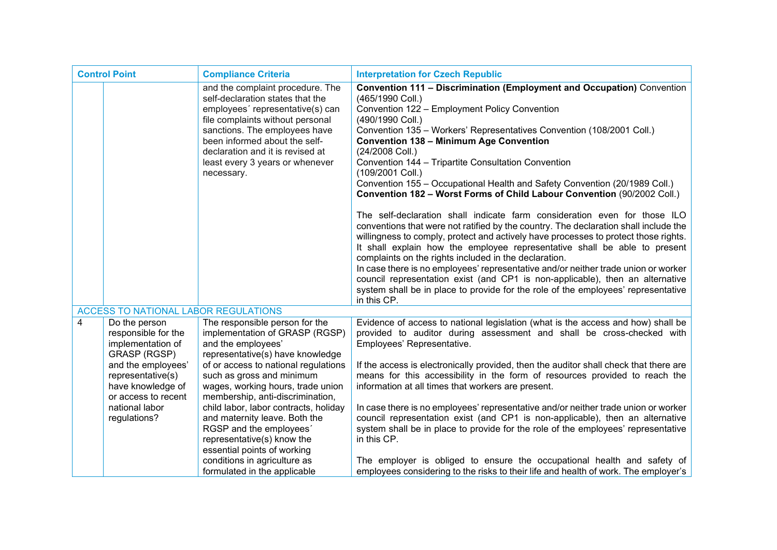| <b>Control Point</b> |                                                                                     | <b>Compliance Criteria</b>                                                                                                                                                                                                                                                                          | <b>Interpretation for Czech Republic</b>                                                                                                                                                                                                                                                                                                                                                                                                                                                                                                                                                                                                                                                                                                                                                                                                                                                                                                                                                                                                                                                                                                                                                                                              |
|----------------------|-------------------------------------------------------------------------------------|-----------------------------------------------------------------------------------------------------------------------------------------------------------------------------------------------------------------------------------------------------------------------------------------------------|---------------------------------------------------------------------------------------------------------------------------------------------------------------------------------------------------------------------------------------------------------------------------------------------------------------------------------------------------------------------------------------------------------------------------------------------------------------------------------------------------------------------------------------------------------------------------------------------------------------------------------------------------------------------------------------------------------------------------------------------------------------------------------------------------------------------------------------------------------------------------------------------------------------------------------------------------------------------------------------------------------------------------------------------------------------------------------------------------------------------------------------------------------------------------------------------------------------------------------------|
|                      |                                                                                     | and the complaint procedure. The<br>self-declaration states that the<br>employees' representative(s) can<br>file complaints without personal<br>sanctions. The employees have<br>been informed about the self-<br>declaration and it is revised at<br>least every 3 years or whenever<br>necessary. | <b>Convention 111 - Discrimination (Employment and Occupation)</b> Convention<br>(465/1990 Coll.)<br>Convention 122 - Employment Policy Convention<br>(490/1990 Coll.)<br>Convention 135 - Workers' Representatives Convention (108/2001 Coll.)<br><b>Convention 138 - Minimum Age Convention</b><br>(24/2008 Coll.)<br>Convention 144 - Tripartite Consultation Convention<br>(109/2001 Coll.)<br>Convention 155 - Occupational Health and Safety Convention (20/1989 Coll.)<br>Convention 182 - Worst Forms of Child Labour Convention (90/2002 Coll.)<br>The self-declaration shall indicate farm consideration even for those ILO<br>conventions that were not ratified by the country. The declaration shall include the<br>willingness to comply, protect and actively have processes to protect those rights.<br>It shall explain how the employee representative shall be able to present<br>complaints on the rights included in the declaration.<br>In case there is no employees' representative and/or neither trade union or worker<br>council representation exist (and CP1 is non-applicable), then an alternative<br>system shall be in place to provide for the role of the employees' representative<br>in this CP. |
|                      | ACCESS TO NATIONAL LABOR REGULATIONS                                                |                                                                                                                                                                                                                                                                                                     |                                                                                                                                                                                                                                                                                                                                                                                                                                                                                                                                                                                                                                                                                                                                                                                                                                                                                                                                                                                                                                                                                                                                                                                                                                       |
| 4                    | Do the person<br>responsible for the<br>implementation of<br><b>GRASP (RGSP)</b>    | The responsible person for the<br>implementation of GRASP (RGSP)<br>and the employees'<br>representative(s) have knowledge                                                                                                                                                                          | Evidence of access to national legislation (what is the access and how) shall be<br>provided to auditor during assessment and shall be cross-checked with<br>Employees' Representative.                                                                                                                                                                                                                                                                                                                                                                                                                                                                                                                                                                                                                                                                                                                                                                                                                                                                                                                                                                                                                                               |
|                      | and the employees'<br>representative(s)<br>have knowledge of<br>or access to recent | of or access to national regulations<br>such as gross and minimum<br>wages, working hours, trade union<br>membership, anti-discrimination,                                                                                                                                                          | If the access is electronically provided, then the auditor shall check that there are<br>means for this accessibility in the form of resources provided to reach the<br>information at all times that workers are present.                                                                                                                                                                                                                                                                                                                                                                                                                                                                                                                                                                                                                                                                                                                                                                                                                                                                                                                                                                                                            |
|                      | national labor<br>regulations?                                                      | child labor, labor contracts, holiday<br>and maternity leave. Both the<br>RGSP and the employees'<br>representative(s) know the<br>essential points of working                                                                                                                                      | In case there is no employees' representative and/or neither trade union or worker<br>council representation exist (and CP1 is non-applicable), then an alternative<br>system shall be in place to provide for the role of the employees' representative<br>in this CP.                                                                                                                                                                                                                                                                                                                                                                                                                                                                                                                                                                                                                                                                                                                                                                                                                                                                                                                                                               |
|                      |                                                                                     | conditions in agriculture as<br>formulated in the applicable                                                                                                                                                                                                                                        | The employer is obliged to ensure the occupational health and safety of<br>employees considering to the risks to their life and health of work. The employer's                                                                                                                                                                                                                                                                                                                                                                                                                                                                                                                                                                                                                                                                                                                                                                                                                                                                                                                                                                                                                                                                        |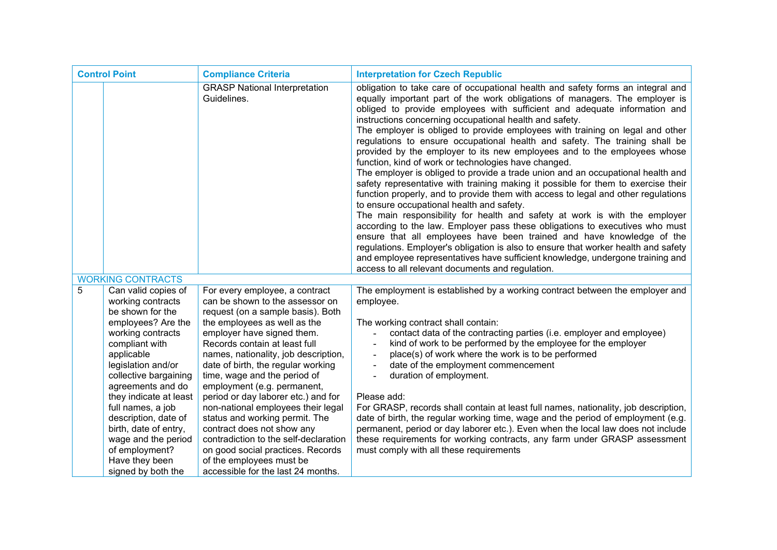| <b>Control Point</b> |                                                                                                                                                                                                                                                                                      | <b>Compliance Criteria</b>                                                                                                                                                                                                                                                                                                                                                                                                                                          | <b>Interpretation for Czech Republic</b>                                                                                                                                                                                                                                                                                                                                                                                                                                                                                                                                                                                                                                                                                                                                                                                                                                                                                                                                                                                                                                                                                                                                                                                                                                                                                                                                                |
|----------------------|--------------------------------------------------------------------------------------------------------------------------------------------------------------------------------------------------------------------------------------------------------------------------------------|---------------------------------------------------------------------------------------------------------------------------------------------------------------------------------------------------------------------------------------------------------------------------------------------------------------------------------------------------------------------------------------------------------------------------------------------------------------------|-----------------------------------------------------------------------------------------------------------------------------------------------------------------------------------------------------------------------------------------------------------------------------------------------------------------------------------------------------------------------------------------------------------------------------------------------------------------------------------------------------------------------------------------------------------------------------------------------------------------------------------------------------------------------------------------------------------------------------------------------------------------------------------------------------------------------------------------------------------------------------------------------------------------------------------------------------------------------------------------------------------------------------------------------------------------------------------------------------------------------------------------------------------------------------------------------------------------------------------------------------------------------------------------------------------------------------------------------------------------------------------------|
|                      |                                                                                                                                                                                                                                                                                      | <b>GRASP National Interpretation</b><br>Guidelines.                                                                                                                                                                                                                                                                                                                                                                                                                 | obligation to take care of occupational health and safety forms an integral and<br>equally important part of the work obligations of managers. The employer is<br>obliged to provide employees with sufficient and adequate information and<br>instructions concerning occupational health and safety.<br>The employer is obliged to provide employees with training on legal and other<br>regulations to ensure occupational health and safety. The training shall be<br>provided by the employer to its new employees and to the employees whose<br>function, kind of work or technologies have changed.<br>The employer is obliged to provide a trade union and an occupational health and<br>safety representative with training making it possible for them to exercise their<br>function properly, and to provide them with access to legal and other regulations<br>to ensure occupational health and safety.<br>The main responsibility for health and safety at work is with the employer<br>according to the law. Employer pass these obligations to executives who must<br>ensure that all employees have been trained and have knowledge of the<br>regulations. Employer's obligation is also to ensure that worker health and safety<br>and employee representatives have sufficient knowledge, undergone training and<br>access to all relevant documents and regulation. |
|                      | <b>WORKING CONTRACTS</b>                                                                                                                                                                                                                                                             |                                                                                                                                                                                                                                                                                                                                                                                                                                                                     |                                                                                                                                                                                                                                                                                                                                                                                                                                                                                                                                                                                                                                                                                                                                                                                                                                                                                                                                                                                                                                                                                                                                                                                                                                                                                                                                                                                         |
| 5                    | Can valid copies of<br>working contracts<br>be shown for the                                                                                                                                                                                                                         | For every employee, a contract<br>can be shown to the assessor on<br>request (on a sample basis). Both                                                                                                                                                                                                                                                                                                                                                              | The employment is established by a working contract between the employer and<br>employee.                                                                                                                                                                                                                                                                                                                                                                                                                                                                                                                                                                                                                                                                                                                                                                                                                                                                                                                                                                                                                                                                                                                                                                                                                                                                                               |
|                      | employees? Are the<br>working contracts<br>compliant with<br>applicable<br>legislation and/or<br>collective bargaining<br>agreements and do<br>they indicate at least<br>full names, a job<br>description, date of<br>birth, date of entry,<br>wage and the period<br>of employment? | the employees as well as the<br>employer have signed them.<br>Records contain at least full<br>names, nationality, job description,<br>date of birth, the regular working<br>time, wage and the period of<br>employment (e.g. permanent,<br>period or day laborer etc.) and for<br>non-national employees their legal<br>status and working permit. The<br>contract does not show any<br>contradiction to the self-declaration<br>on good social practices. Records | The working contract shall contain:<br>contact data of the contracting parties (i.e. employer and employee)<br>kind of work to be performed by the employee for the employer<br>place(s) of work where the work is to be performed<br>$\overline{a}$<br>date of the employment commencement<br>duration of employment.<br>$\overline{\phantom{a}}$<br>Please add:<br>For GRASP, records shall contain at least full names, nationality, job description,<br>date of birth, the regular working time, wage and the period of employment (e.g.<br>permanent, period or day laborer etc.). Even when the local law does not include<br>these requirements for working contracts, any farm under GRASP assessment<br>must comply with all these requirements                                                                                                                                                                                                                                                                                                                                                                                                                                                                                                                                                                                                                                |
|                      | Have they been<br>signed by both the                                                                                                                                                                                                                                                 | of the employees must be<br>accessible for the last 24 months.                                                                                                                                                                                                                                                                                                                                                                                                      |                                                                                                                                                                                                                                                                                                                                                                                                                                                                                                                                                                                                                                                                                                                                                                                                                                                                                                                                                                                                                                                                                                                                                                                                                                                                                                                                                                                         |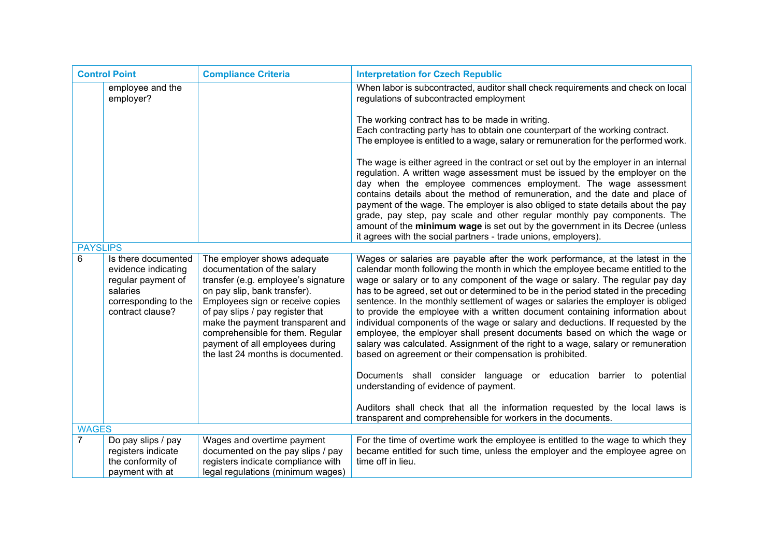| <b>Control Point</b> |                                                                                                                          | <b>Compliance Criteria</b>                                                                                                                                                                                                                                                                                                                                | <b>Interpretation for Czech Republic</b>                                                                                                                                                                                                                                                                                                                                                                                                                                                                                                                                                                                                                                                                                                                                                                                                                                                                                                                                                                                                                                                     |
|----------------------|--------------------------------------------------------------------------------------------------------------------------|-----------------------------------------------------------------------------------------------------------------------------------------------------------------------------------------------------------------------------------------------------------------------------------------------------------------------------------------------------------|----------------------------------------------------------------------------------------------------------------------------------------------------------------------------------------------------------------------------------------------------------------------------------------------------------------------------------------------------------------------------------------------------------------------------------------------------------------------------------------------------------------------------------------------------------------------------------------------------------------------------------------------------------------------------------------------------------------------------------------------------------------------------------------------------------------------------------------------------------------------------------------------------------------------------------------------------------------------------------------------------------------------------------------------------------------------------------------------|
|                      | employee and the<br>employer?                                                                                            |                                                                                                                                                                                                                                                                                                                                                           | When labor is subcontracted, auditor shall check requirements and check on local<br>regulations of subcontracted employment<br>The working contract has to be made in writing.<br>Each contracting party has to obtain one counterpart of the working contract.<br>The employee is entitled to a wage, salary or remuneration for the performed work.<br>The wage is either agreed in the contract or set out by the employer in an internal<br>regulation. A written wage assessment must be issued by the employer on the<br>day when the employee commences employment. The wage assessment<br>contains details about the method of remuneration, and the date and place of<br>payment of the wage. The employer is also obliged to state details about the pay<br>grade, pay step, pay scale and other regular monthly pay components. The<br>amount of the minimum wage is set out by the government in its Decree (unless<br>it agrees with the social partners - trade unions, employers).                                                                                            |
|                      | <b>PAYSLIPS</b>                                                                                                          |                                                                                                                                                                                                                                                                                                                                                           |                                                                                                                                                                                                                                                                                                                                                                                                                                                                                                                                                                                                                                                                                                                                                                                                                                                                                                                                                                                                                                                                                              |
| 6                    | Is there documented<br>evidence indicating<br>regular payment of<br>salaries<br>corresponding to the<br>contract clause? | The employer shows adequate<br>documentation of the salary<br>transfer (e.g. employee's signature<br>on pay slip, bank transfer).<br>Employees sign or receive copies<br>of pay slips / pay register that<br>make the payment transparent and<br>comprehensible for them. Regular<br>payment of all employees during<br>the last 24 months is documented. | Wages or salaries are payable after the work performance, at the latest in the<br>calendar month following the month in which the employee became entitled to the<br>wage or salary or to any component of the wage or salary. The regular pay day<br>has to be agreed, set out or determined to be in the period stated in the preceding<br>sentence. In the monthly settlement of wages or salaries the employer is obliged<br>to provide the employee with a written document containing information about<br>individual components of the wage or salary and deductions. If requested by the<br>employee, the employer shall present documents based on which the wage or<br>salary was calculated. Assignment of the right to a wage, salary or remuneration<br>based on agreement or their compensation is prohibited.<br>Documents shall consider language or education barrier to potential<br>understanding of evidence of payment.<br>Auditors shall check that all the information requested by the local laws is<br>transparent and comprehensible for workers in the documents. |
| <b>WAGES</b>         |                                                                                                                          |                                                                                                                                                                                                                                                                                                                                                           |                                                                                                                                                                                                                                                                                                                                                                                                                                                                                                                                                                                                                                                                                                                                                                                                                                                                                                                                                                                                                                                                                              |
| $\overline{7}$       | Do pay slips / pay<br>registers indicate<br>the conformity of<br>payment with at                                         | Wages and overtime payment<br>documented on the pay slips / pay<br>registers indicate compliance with<br>legal regulations (minimum wages)                                                                                                                                                                                                                | For the time of overtime work the employee is entitled to the wage to which they<br>became entitled for such time, unless the employer and the employee agree on<br>time off in lieu.                                                                                                                                                                                                                                                                                                                                                                                                                                                                                                                                                                                                                                                                                                                                                                                                                                                                                                        |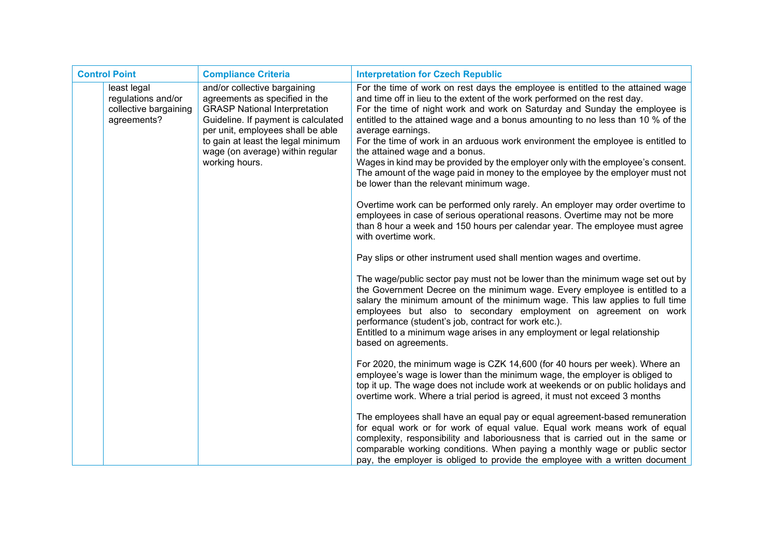| <b>Control Point</b> |                                                                           | <b>Compliance Criteria</b>                                                                                                                                                                                                                                                     | <b>Interpretation for Czech Republic</b>                                                                                                                                                                                                                                                                                                                                                                                                                                                                                                                                                                                                                                                |
|----------------------|---------------------------------------------------------------------------|--------------------------------------------------------------------------------------------------------------------------------------------------------------------------------------------------------------------------------------------------------------------------------|-----------------------------------------------------------------------------------------------------------------------------------------------------------------------------------------------------------------------------------------------------------------------------------------------------------------------------------------------------------------------------------------------------------------------------------------------------------------------------------------------------------------------------------------------------------------------------------------------------------------------------------------------------------------------------------------|
|                      | least legal<br>regulations and/or<br>collective bargaining<br>agreements? | and/or collective bargaining<br>agreements as specified in the<br><b>GRASP National Interpretation</b><br>Guideline. If payment is calculated<br>per unit, employees shall be able<br>to gain at least the legal minimum<br>wage (on average) within regular<br>working hours. | For the time of work on rest days the employee is entitled to the attained wage<br>and time off in lieu to the extent of the work performed on the rest day.<br>For the time of night work and work on Saturday and Sunday the employee is<br>entitled to the attained wage and a bonus amounting to no less than 10 % of the<br>average earnings.<br>For the time of work in an arduous work environment the employee is entitled to<br>the attained wage and a bonus.<br>Wages in kind may be provided by the employer only with the employee's consent.<br>The amount of the wage paid in money to the employee by the employer must not<br>be lower than the relevant minimum wage. |
|                      |                                                                           |                                                                                                                                                                                                                                                                                | Overtime work can be performed only rarely. An employer may order overtime to<br>employees in case of serious operational reasons. Overtime may not be more<br>than 8 hour a week and 150 hours per calendar year. The employee must agree<br>with overtime work.                                                                                                                                                                                                                                                                                                                                                                                                                       |
|                      |                                                                           |                                                                                                                                                                                                                                                                                | Pay slips or other instrument used shall mention wages and overtime.                                                                                                                                                                                                                                                                                                                                                                                                                                                                                                                                                                                                                    |
|                      |                                                                           |                                                                                                                                                                                                                                                                                | The wage/public sector pay must not be lower than the minimum wage set out by<br>the Government Decree on the minimum wage. Every employee is entitled to a<br>salary the minimum amount of the minimum wage. This law applies to full time<br>employees but also to secondary employment on agreement on work<br>performance (student's job, contract for work etc.).<br>Entitled to a minimum wage arises in any employment or legal relationship<br>based on agreements.                                                                                                                                                                                                             |
|                      |                                                                           |                                                                                                                                                                                                                                                                                | For 2020, the minimum wage is CZK 14,600 (for 40 hours per week). Where an<br>employee's wage is lower than the minimum wage, the employer is obliged to<br>top it up. The wage does not include work at weekends or on public holidays and<br>overtime work. Where a trial period is agreed, it must not exceed 3 months                                                                                                                                                                                                                                                                                                                                                               |
|                      |                                                                           |                                                                                                                                                                                                                                                                                | The employees shall have an equal pay or equal agreement-based remuneration<br>for equal work or for work of equal value. Equal work means work of equal<br>complexity, responsibility and laboriousness that is carried out in the same or<br>comparable working conditions. When paying a monthly wage or public sector<br>pay, the employer is obliged to provide the employee with a written document                                                                                                                                                                                                                                                                               |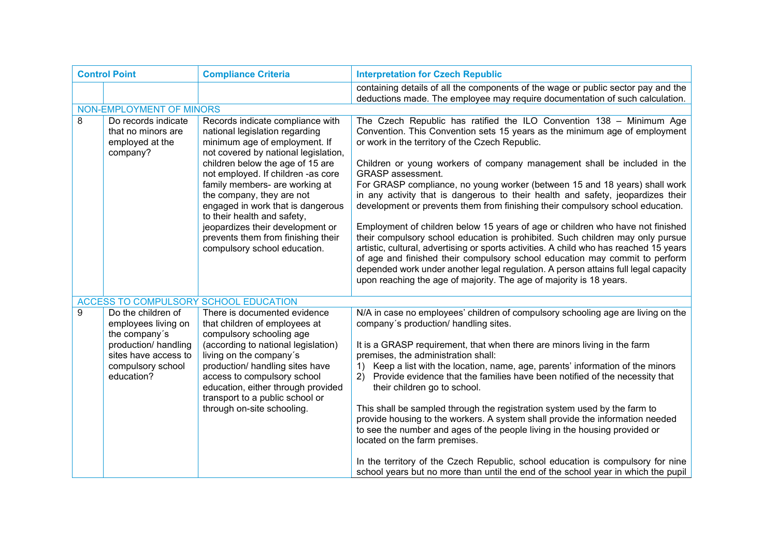| <b>Control Point</b> |                                                                                                                                               | <b>Compliance Criteria</b>                                                                                                                                                                                                                                                                                                                                                                                                                                         | <b>Interpretation for Czech Republic</b>                                                                                                                                                                                                                                                                                                                                                                                                                                                                                                                                                                                                                                                                                                                                                                                                                                                                                                                                                                                                                                   |
|----------------------|-----------------------------------------------------------------------------------------------------------------------------------------------|--------------------------------------------------------------------------------------------------------------------------------------------------------------------------------------------------------------------------------------------------------------------------------------------------------------------------------------------------------------------------------------------------------------------------------------------------------------------|----------------------------------------------------------------------------------------------------------------------------------------------------------------------------------------------------------------------------------------------------------------------------------------------------------------------------------------------------------------------------------------------------------------------------------------------------------------------------------------------------------------------------------------------------------------------------------------------------------------------------------------------------------------------------------------------------------------------------------------------------------------------------------------------------------------------------------------------------------------------------------------------------------------------------------------------------------------------------------------------------------------------------------------------------------------------------|
|                      |                                                                                                                                               |                                                                                                                                                                                                                                                                                                                                                                                                                                                                    | containing details of all the components of the wage or public sector pay and the<br>deductions made. The employee may require documentation of such calculation.                                                                                                                                                                                                                                                                                                                                                                                                                                                                                                                                                                                                                                                                                                                                                                                                                                                                                                          |
|                      | NON-EMPLOYMENT OF MINORS                                                                                                                      |                                                                                                                                                                                                                                                                                                                                                                                                                                                                    |                                                                                                                                                                                                                                                                                                                                                                                                                                                                                                                                                                                                                                                                                                                                                                                                                                                                                                                                                                                                                                                                            |
| 8                    | Do records indicate<br>that no minors are<br>employed at the<br>company?                                                                      | Records indicate compliance with<br>national legislation regarding<br>minimum age of employment. If<br>not covered by national legislation,<br>children below the age of 15 are<br>not employed. If children -as core<br>family members- are working at<br>the company, they are not<br>engaged in work that is dangerous<br>to their health and safety,<br>jeopardizes their development or<br>prevents them from finishing their<br>compulsory school education. | The Czech Republic has ratified the ILO Convention 138 - Minimum Age<br>Convention. This Convention sets 15 years as the minimum age of employment<br>or work in the territory of the Czech Republic.<br>Children or young workers of company management shall be included in the<br><b>GRASP</b> assessment.<br>For GRASP compliance, no young worker (between 15 and 18 years) shall work<br>in any activity that is dangerous to their health and safety, jeopardizes their<br>development or prevents them from finishing their compulsory school education.<br>Employment of children below 15 years of age or children who have not finished<br>their compulsory school education is prohibited. Such children may only pursue<br>artistic, cultural, advertising or sports activities. A child who has reached 15 years<br>of age and finished their compulsory school education may commit to perform<br>depended work under another legal regulation. A person attains full legal capacity<br>upon reaching the age of majority. The age of majority is 18 years. |
|                      |                                                                                                                                               | ACCESS TO COMPULSORY SCHOOL EDUCATION                                                                                                                                                                                                                                                                                                                                                                                                                              |                                                                                                                                                                                                                                                                                                                                                                                                                                                                                                                                                                                                                                                                                                                                                                                                                                                                                                                                                                                                                                                                            |
| 9                    | Do the children of<br>employees living on<br>the company's<br>production/ handling<br>sites have access to<br>compulsory school<br>education? | There is documented evidence<br>that children of employees at<br>compulsory schooling age<br>(according to national legislation)<br>living on the company's<br>production/ handling sites have<br>access to compulsory school<br>education, either through provided<br>transport to a public school or<br>through on-site schooling.                                                                                                                               | N/A in case no employees' children of compulsory schooling age are living on the<br>company's production/ handling sites.<br>It is a GRASP requirement, that when there are minors living in the farm<br>premises, the administration shall:<br>1) Keep a list with the location, name, age, parents' information of the minors<br>2) Provide evidence that the families have been notified of the necessity that<br>their children go to school.<br>This shall be sampled through the registration system used by the farm to<br>provide housing to the workers. A system shall provide the information needed<br>to see the number and ages of the people living in the housing provided or<br>located on the farm premises.<br>In the territory of the Czech Republic, school education is compulsory for nine<br>school years but no more than until the end of the school year in which the pupil                                                                                                                                                                     |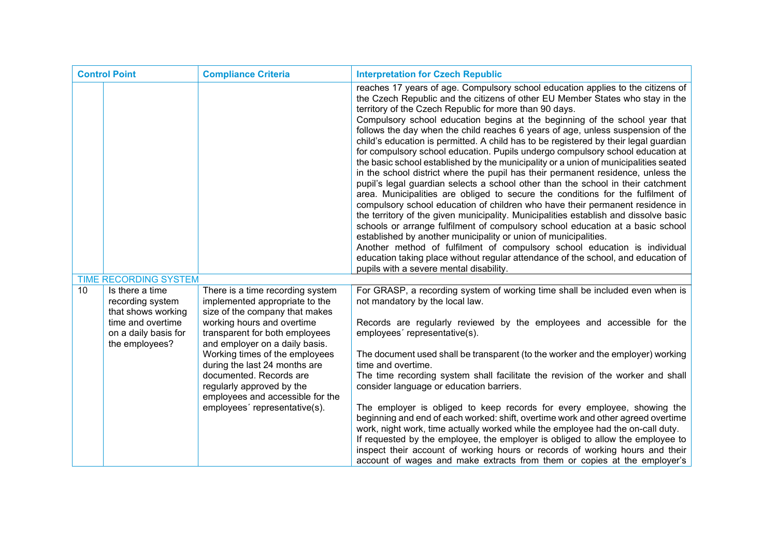| <b>Control Point</b> |                                                             | <b>Compliance Criteria</b>                                                                           | <b>Interpretation for Czech Republic</b>                                                                                                                                                                                                                                                                                                                                                                                                                                                                                                                                                                                                                                                                                                                                                                                                                                                                                                                                                                                                                                                                                                                                                                                                                                                                                                                                                                                                                             |
|----------------------|-------------------------------------------------------------|------------------------------------------------------------------------------------------------------|----------------------------------------------------------------------------------------------------------------------------------------------------------------------------------------------------------------------------------------------------------------------------------------------------------------------------------------------------------------------------------------------------------------------------------------------------------------------------------------------------------------------------------------------------------------------------------------------------------------------------------------------------------------------------------------------------------------------------------------------------------------------------------------------------------------------------------------------------------------------------------------------------------------------------------------------------------------------------------------------------------------------------------------------------------------------------------------------------------------------------------------------------------------------------------------------------------------------------------------------------------------------------------------------------------------------------------------------------------------------------------------------------------------------------------------------------------------------|
|                      |                                                             |                                                                                                      | reaches 17 years of age. Compulsory school education applies to the citizens of<br>the Czech Republic and the citizens of other EU Member States who stay in the<br>territory of the Czech Republic for more than 90 days.<br>Compulsory school education begins at the beginning of the school year that<br>follows the day when the child reaches 6 years of age, unless suspension of the<br>child's education is permitted. A child has to be registered by their legal guardian<br>for compulsory school education. Pupils undergo compulsory school education at<br>the basic school established by the municipality or a union of municipalities seated<br>in the school district where the pupil has their permanent residence, unless the<br>pupil's legal guardian selects a school other than the school in their catchment<br>area. Municipalities are obliged to secure the conditions for the fulfilment of<br>compulsory school education of children who have their permanent residence in<br>the territory of the given municipality. Municipalities establish and dissolve basic<br>schools or arrange fulfilment of compulsory school education at a basic school<br>established by another municipality or union of municipalities.<br>Another method of fulfilment of compulsory school education is individual<br>education taking place without regular attendance of the school, and education of<br>pupils with a severe mental disability. |
|                      | <b>TIME RECORDING SYSTEM</b>                                |                                                                                                      |                                                                                                                                                                                                                                                                                                                                                                                                                                                                                                                                                                                                                                                                                                                                                                                                                                                                                                                                                                                                                                                                                                                                                                                                                                                                                                                                                                                                                                                                      |
| 10                   | Is there a time<br>recording system<br>that shows working   | There is a time recording system<br>implemented appropriate to the<br>size of the company that makes | For GRASP, a recording system of working time shall be included even when is<br>not mandatory by the local law.                                                                                                                                                                                                                                                                                                                                                                                                                                                                                                                                                                                                                                                                                                                                                                                                                                                                                                                                                                                                                                                                                                                                                                                                                                                                                                                                                      |
|                      | time and overtime<br>on a daily basis for<br>the employees? | working hours and overtime<br>transparent for both employees<br>and employer on a daily basis.       | Records are regularly reviewed by the employees and accessible for the<br>employees' representative(s).                                                                                                                                                                                                                                                                                                                                                                                                                                                                                                                                                                                                                                                                                                                                                                                                                                                                                                                                                                                                                                                                                                                                                                                                                                                                                                                                                              |
|                      |                                                             | Working times of the employees<br>during the last 24 months are                                      | The document used shall be transparent (to the worker and the employer) working<br>time and overtime.                                                                                                                                                                                                                                                                                                                                                                                                                                                                                                                                                                                                                                                                                                                                                                                                                                                                                                                                                                                                                                                                                                                                                                                                                                                                                                                                                                |
|                      |                                                             | documented. Records are<br>regularly approved by the<br>employees and accessible for the             | The time recording system shall facilitate the revision of the worker and shall<br>consider language or education barriers.                                                                                                                                                                                                                                                                                                                                                                                                                                                                                                                                                                                                                                                                                                                                                                                                                                                                                                                                                                                                                                                                                                                                                                                                                                                                                                                                          |
|                      |                                                             | employees' representative(s).                                                                        | The employer is obliged to keep records for every employee, showing the<br>beginning and end of each worked: shift, overtime work and other agreed overtime<br>work, night work, time actually worked while the employee had the on-call duty.<br>If requested by the employee, the employer is obliged to allow the employee to<br>inspect their account of working hours or records of working hours and their<br>account of wages and make extracts from them or copies at the employer's                                                                                                                                                                                                                                                                                                                                                                                                                                                                                                                                                                                                                                                                                                                                                                                                                                                                                                                                                                         |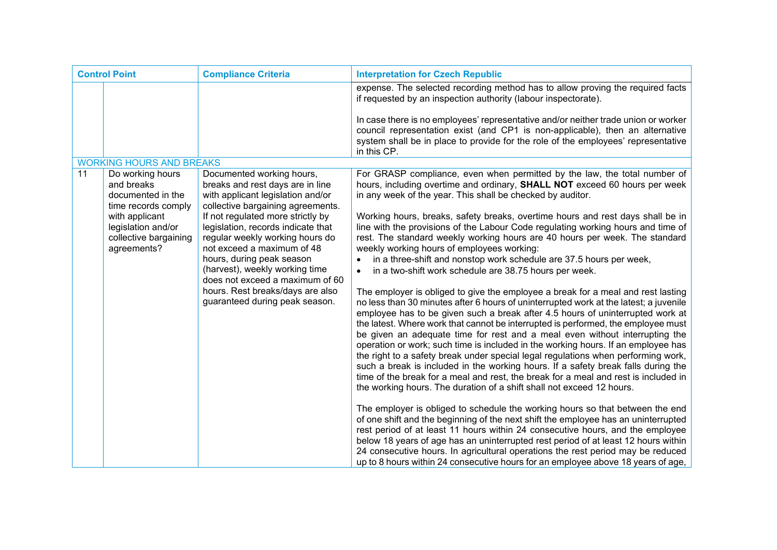| <b>Control Point</b> |                                                                              | <b>Compliance Criteria</b>                                                                                                               | <b>Interpretation for Czech Republic</b>                                                                                                                                                                                                                                                                                                                                                                                                                                                                                                                                                                                                                                                                                                                                                                                                                       |
|----------------------|------------------------------------------------------------------------------|------------------------------------------------------------------------------------------------------------------------------------------|----------------------------------------------------------------------------------------------------------------------------------------------------------------------------------------------------------------------------------------------------------------------------------------------------------------------------------------------------------------------------------------------------------------------------------------------------------------------------------------------------------------------------------------------------------------------------------------------------------------------------------------------------------------------------------------------------------------------------------------------------------------------------------------------------------------------------------------------------------------|
|                      |                                                                              |                                                                                                                                          | expense. The selected recording method has to allow proving the required facts<br>if requested by an inspection authority (labour inspectorate).                                                                                                                                                                                                                                                                                                                                                                                                                                                                                                                                                                                                                                                                                                               |
|                      |                                                                              |                                                                                                                                          | In case there is no employees' representative and/or neither trade union or worker<br>council representation exist (and CP1 is non-applicable), then an alternative<br>system shall be in place to provide for the role of the employees' representative<br>in this CP.                                                                                                                                                                                                                                                                                                                                                                                                                                                                                                                                                                                        |
|                      | <b>WORKING HOURS AND BREAKS</b>                                              |                                                                                                                                          |                                                                                                                                                                                                                                                                                                                                                                                                                                                                                                                                                                                                                                                                                                                                                                                                                                                                |
| 11                   | Do working hours<br>and breaks<br>documented in the<br>time records comply   | Documented working hours,<br>breaks and rest days are in line<br>with applicant legislation and/or<br>collective bargaining agreements.  | For GRASP compliance, even when permitted by the law, the total number of<br>hours, including overtime and ordinary, <b>SHALL NOT</b> exceed 60 hours per week<br>in any week of the year. This shall be checked by auditor.                                                                                                                                                                                                                                                                                                                                                                                                                                                                                                                                                                                                                                   |
|                      | with applicant<br>legislation and/or<br>collective bargaining<br>agreements? | If not regulated more strictly by<br>legislation, records indicate that<br>regular weekly working hours do<br>not exceed a maximum of 48 | Working hours, breaks, safety breaks, overtime hours and rest days shall be in<br>line with the provisions of the Labour Code regulating working hours and time of<br>rest. The standard weekly working hours are 40 hours per week. The standard<br>weekly working hours of employees working:                                                                                                                                                                                                                                                                                                                                                                                                                                                                                                                                                                |
|                      |                                                                              | hours, during peak season<br>(harvest), weekly working time<br>does not exceed a maximum of 60                                           | in a three-shift and nonstop work schedule are 37.5 hours per week,<br>in a two-shift work schedule are 38.75 hours per week.                                                                                                                                                                                                                                                                                                                                                                                                                                                                                                                                                                                                                                                                                                                                  |
|                      |                                                                              | hours. Rest breaks/days are also<br>guaranteed during peak season.                                                                       | The employer is obliged to give the employee a break for a meal and rest lasting<br>no less than 30 minutes after 6 hours of uninterrupted work at the latest; a juvenile<br>employee has to be given such a break after 4.5 hours of uninterrupted work at<br>the latest. Where work that cannot be interrupted is performed, the employee must<br>be given an adequate time for rest and a meal even without interrupting the<br>operation or work; such time is included in the working hours. If an employee has<br>the right to a safety break under special legal regulations when performing work,<br>such a break is included in the working hours. If a safety break falls during the<br>time of the break for a meal and rest, the break for a meal and rest is included in<br>the working hours. The duration of a shift shall not exceed 12 hours. |
|                      |                                                                              |                                                                                                                                          | The employer is obliged to schedule the working hours so that between the end<br>of one shift and the beginning of the next shift the employee has an uninterrupted<br>rest period of at least 11 hours within 24 consecutive hours, and the employee<br>below 18 years of age has an uninterrupted rest period of at least 12 hours within<br>24 consecutive hours. In agricultural operations the rest period may be reduced<br>up to 8 hours within 24 consecutive hours for an employee above 18 years of age,                                                                                                                                                                                                                                                                                                                                             |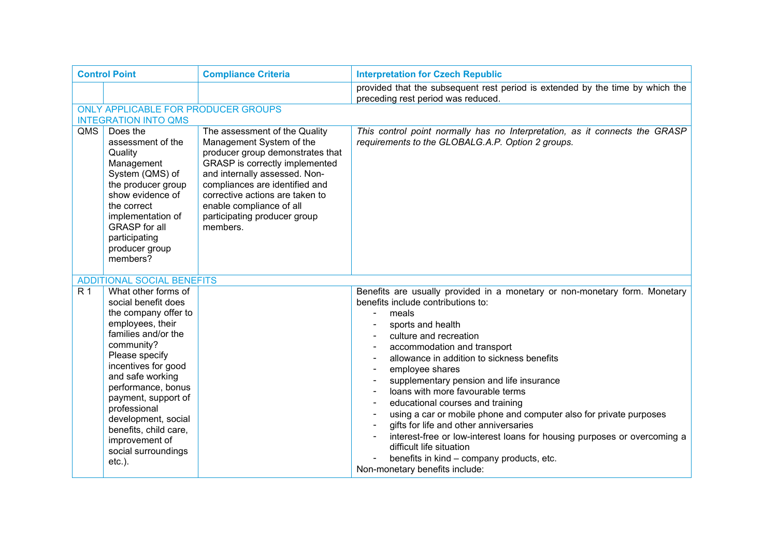| <b>Control Point</b> |                                                                                                                                                                                                                                                                                                                                                             | <b>Compliance Criteria</b>                                                                                                                                                                                                                                                                                    | <b>Interpretation for Czech Republic</b>                                                                                                                                                                                                                                                                                                                                                                                                                                                                                                                                                                                                                                                            |
|----------------------|-------------------------------------------------------------------------------------------------------------------------------------------------------------------------------------------------------------------------------------------------------------------------------------------------------------------------------------------------------------|---------------------------------------------------------------------------------------------------------------------------------------------------------------------------------------------------------------------------------------------------------------------------------------------------------------|-----------------------------------------------------------------------------------------------------------------------------------------------------------------------------------------------------------------------------------------------------------------------------------------------------------------------------------------------------------------------------------------------------------------------------------------------------------------------------------------------------------------------------------------------------------------------------------------------------------------------------------------------------------------------------------------------------|
|                      |                                                                                                                                                                                                                                                                                                                                                             |                                                                                                                                                                                                                                                                                                               | provided that the subsequent rest period is extended by the time by which the<br>preceding rest period was reduced.                                                                                                                                                                                                                                                                                                                                                                                                                                                                                                                                                                                 |
|                      | ONLY APPLICABLE FOR PRODUCER GROUPS                                                                                                                                                                                                                                                                                                                         |                                                                                                                                                                                                                                                                                                               |                                                                                                                                                                                                                                                                                                                                                                                                                                                                                                                                                                                                                                                                                                     |
|                      | <b>INTEGRATION INTO QMS</b>                                                                                                                                                                                                                                                                                                                                 |                                                                                                                                                                                                                                                                                                               |                                                                                                                                                                                                                                                                                                                                                                                                                                                                                                                                                                                                                                                                                                     |
| QMS                  | Does the<br>assessment of the<br>Quality<br>Management<br>System (QMS) of<br>the producer group<br>show evidence of<br>the correct<br>implementation of<br><b>GRASP</b> for all<br>participating<br>producer group<br>members?                                                                                                                              | The assessment of the Quality<br>Management System of the<br>producer group demonstrates that<br>GRASP is correctly implemented<br>and internally assessed. Non-<br>compliances are identified and<br>corrective actions are taken to<br>enable compliance of all<br>participating producer group<br>members. | This control point normally has no Interpretation, as it connects the GRASP<br>requirements to the GLOBALG.A.P. Option 2 groups.                                                                                                                                                                                                                                                                                                                                                                                                                                                                                                                                                                    |
|                      | <b>ADDITIONAL SOCIAL BENEFITS</b>                                                                                                                                                                                                                                                                                                                           |                                                                                                                                                                                                                                                                                                               |                                                                                                                                                                                                                                                                                                                                                                                                                                                                                                                                                                                                                                                                                                     |
| <b>R1</b>            | What other forms of<br>social benefit does<br>the company offer to<br>employees, their<br>families and/or the<br>community?<br>Please specify<br>incentives for good<br>and safe working<br>performance, bonus<br>payment, support of<br>professional<br>development, social<br>benefits, child care,<br>improvement of<br>social surroundings<br>$etc.$ ). |                                                                                                                                                                                                                                                                                                               | Benefits are usually provided in a monetary or non-monetary form. Monetary<br>benefits include contributions to:<br>meals<br>sports and health<br>culture and recreation<br>accommodation and transport<br>allowance in addition to sickness benefits<br>employee shares<br>supplementary pension and life insurance<br>loans with more favourable terms<br>educational courses and training<br>using a car or mobile phone and computer also for private purposes<br>gifts for life and other anniversaries<br>interest-free or low-interest loans for housing purposes or overcoming a<br>difficult life situation<br>benefits in kind - company products, etc.<br>Non-monetary benefits include: |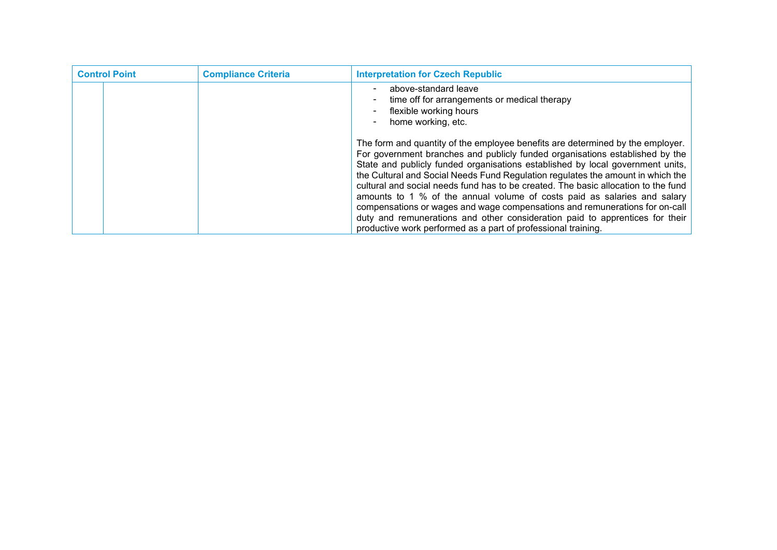| <b>Control Point</b> | <b>Compliance Criteria</b> | <b>Interpretation for Czech Republic</b>                                                                                                                                                                                                                                                                                                                                                                                                                                                                                                                                                                                                                                                                                              |
|----------------------|----------------------------|---------------------------------------------------------------------------------------------------------------------------------------------------------------------------------------------------------------------------------------------------------------------------------------------------------------------------------------------------------------------------------------------------------------------------------------------------------------------------------------------------------------------------------------------------------------------------------------------------------------------------------------------------------------------------------------------------------------------------------------|
|                      |                            | above-standard leave<br>time off for arrangements or medical therapy<br>flexible working hours<br>home working, etc.                                                                                                                                                                                                                                                                                                                                                                                                                                                                                                                                                                                                                  |
|                      |                            | The form and quantity of the employee benefits are determined by the employer.<br>For government branches and publicly funded organisations established by the<br>State and publicly funded organisations established by local government units,<br>the Cultural and Social Needs Fund Regulation regulates the amount in which the<br>cultural and social needs fund has to be created. The basic allocation to the fund<br>amounts to 1 % of the annual volume of costs paid as salaries and salary<br>compensations or wages and wage compensations and remunerations for on-call<br>duty and remunerations and other consideration paid to apprentices for their<br>productive work performed as a part of professional training. |